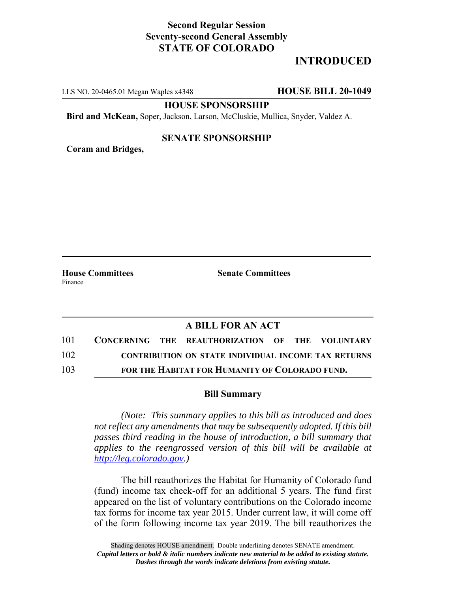## **Second Regular Session Seventy-second General Assembly STATE OF COLORADO**

# **INTRODUCED**

LLS NO. 20-0465.01 Megan Waples x4348 **HOUSE BILL 20-1049**

**HOUSE SPONSORSHIP**

**Bird and McKean,** Soper, Jackson, Larson, McCluskie, Mullica, Snyder, Valdez A.

#### **SENATE SPONSORSHIP**

**Coram and Bridges,**

**House Committees Senate Committees** Finance

### **A BILL FOR AN ACT**

| 101 |  | CONCERNING THE REAUTHORIZATION OF THE VOLUNTARY            |  |  |
|-----|--|------------------------------------------------------------|--|--|
| 102 |  | <b>CONTRIBUTION ON STATE INDIVIDUAL INCOME TAX RETURNS</b> |  |  |
| 103 |  | FOR THE HABITAT FOR HUMANITY OF COLORADO FUND.             |  |  |

#### **Bill Summary**

*(Note: This summary applies to this bill as introduced and does not reflect any amendments that may be subsequently adopted. If this bill passes third reading in the house of introduction, a bill summary that applies to the reengrossed version of this bill will be available at http://leg.colorado.gov.)*

The bill reauthorizes the Habitat for Humanity of Colorado fund (fund) income tax check-off for an additional 5 years. The fund first appeared on the list of voluntary contributions on the Colorado income tax forms for income tax year 2015. Under current law, it will come off of the form following income tax year 2019. The bill reauthorizes the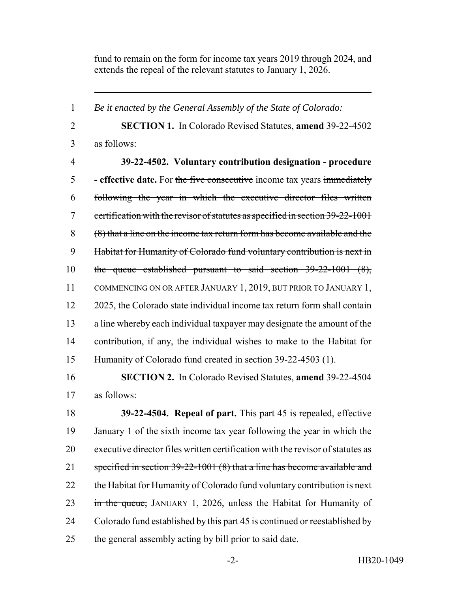fund to remain on the form for income tax years 2019 through 2024, and extends the repeal of the relevant statutes to January 1, 2026.

 *Be it enacted by the General Assembly of the State of Colorado:* **SECTION 1.** In Colorado Revised Statutes, **amend** 39-22-4502 as follows: **39-22-4502. Voluntary contribution designation - procedure - effective date.** For the five consecutive income tax years immediately following the year in which the executive director files written certification with the revisor of statutes as specified in section 39-22-1001 (8) that a line on the income tax return form has become available and the Habitat for Humanity of Colorado fund voluntary contribution is next in the queue established pursuant to said section 39-22-1001 (8), COMMENCING ON OR AFTER JANUARY 1, 2019, BUT PRIOR TO JANUARY 1, 2025, the Colorado state individual income tax return form shall contain a line whereby each individual taxpayer may designate the amount of the contribution, if any, the individual wishes to make to the Habitat for Humanity of Colorado fund created in section 39-22-4503 (1).

 **SECTION 2.** In Colorado Revised Statutes, **amend** 39-22-4504 as follows:

 **39-22-4504. Repeal of part.** This part 45 is repealed, effective 19 January 1 of the sixth income tax year following the year in which the executive director files written certification with the revisor of statutes as 21 specified in section 39-22-1001 (8) that a line has become available and 22 the Habitat for Humanity of Colorado fund voluntary contribution is next 23 in the queue, JANUARY 1, 2026, unless the Habitat for Humanity of Colorado fund established by this part 45 is continued or reestablished by the general assembly acting by bill prior to said date.